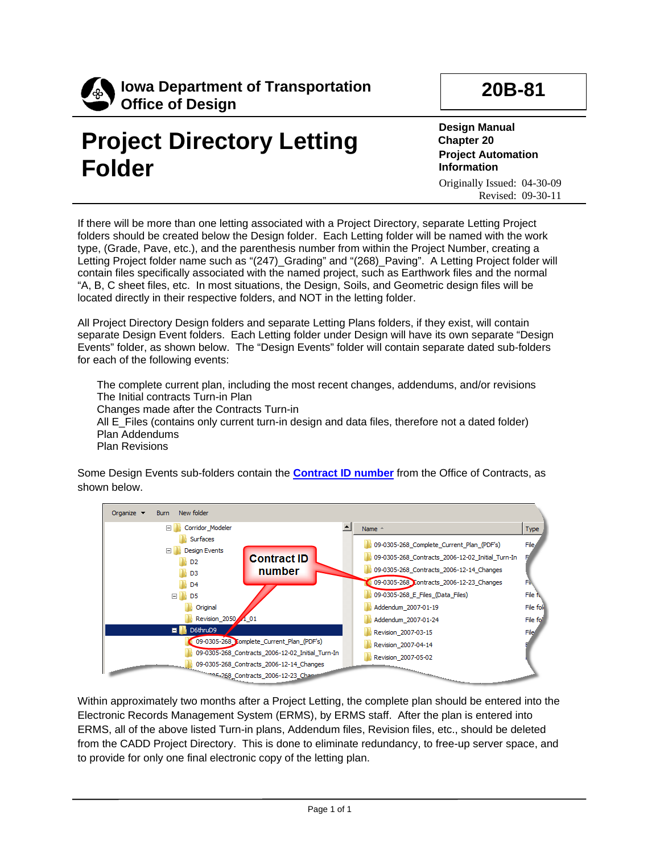

## **Project Directory Letting Folder**

**20B-81**

**Design Manual Chapter 20 Project Automation Information** Originally Issued: 04-30-09 Revised: 09-30-11

If there will be more than one letting associated with a Project Directory, separate Letting Project folders should be created below the Design folder. Each Letting folder will be named with the work type, (Grade, Pave, etc.), and the parenthesis number from within the Project Number, creating a Letting Project folder name such as "(247)\_Grading" and "(268)\_Paving". A Letting Project folder will contain files specifically associated with the named project, such as Earthwork files and the normal "A, B, C sheet files, etc. In most situations, the Design, Soils, and Geometric design files will be located directly in their respective folders, and NOT in the letting folder.

All Project Directory Design folders and separate Letting Plans folders, if they exist, will contain separate Design Event folders. Each Letting folder under Design will have its own separate "Design Events" folder, as shown below. The "Design Events" folder will contain separate dated sub-folders for each of the following events:

The complete current plan, including the most recent changes, addendums, and/or revisions The Initial contracts Turn-in Plan Changes made after the Contracts Turn-in All E\_Files (contains only current turn-in design and data files, therefore not a dated folder) Plan Addendums Plan Revisions

Some Design Events sub-folders contain the **[Contract ID number](http://www.iowadot.gov/design/dmanual/01b-01/ContractID.pdf)** from the Office of Contracts, as shown below.



Within approximately two months after a Project Letting, the complete plan should be entered into the Electronic Records Management System (ERMS), by ERMS staff. After the plan is entered into ERMS, all of the above listed Turn-in plans, Addendum files, Revision files, etc., should be deleted from the CADD Project Directory. This is done to eliminate redundancy, to free-up server space, and to provide for only one final electronic copy of the letting plan.